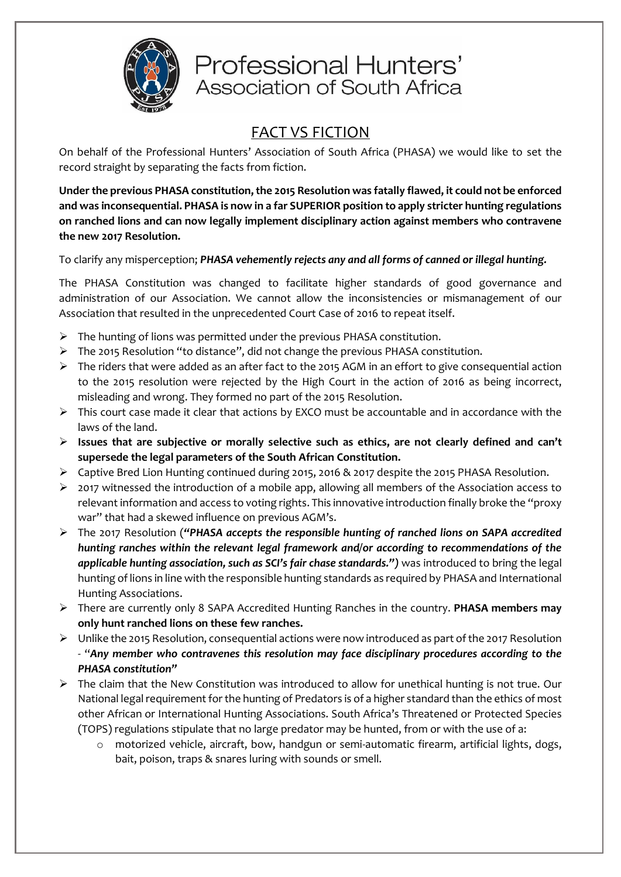

# Professional Hunters' Association of South Africa

## FACT VS FICTION

On behalf of the Professional Hunters' Association of South Africa (PHASA) we would like to set the record straight by separating the facts from fiction.

**Under the previous PHASA constitution, the 2015 Resolution was fatally flawed, it could not be enforced and was inconsequential. PHASA is now in a far SUPERIOR position to apply stricter hunting regulations on ranched lions and can now legally implement disciplinary action against members who contravene the new 2017 Resolution.** 

To clarify any misperception; *PHASA vehemently rejects any and all forms of canned or illegal hunting.*

The PHASA Constitution was changed to facilitate higher standards of good governance and administration of our Association. We cannot allow the inconsistencies or mismanagement of our Association that resulted in the unprecedented Court Case of 2016 to repeat itself.

- ➢ The hunting of lions was permitted under the previous PHASA constitution.
- ➢ The 2015 Resolution "to distance", did not change the previous PHASA constitution.
- $\triangleright$  The riders that were added as an after fact to the 2015 AGM in an effort to give consequential action to the 2015 resolution were rejected by the High Court in the action of 2016 as being incorrect, misleading and wrong. They formed no part of the 2015 Resolution.
- $\triangleright$  This court case made it clear that actions by EXCO must be accountable and in accordance with the laws of the land.
- ➢ **Issues that are subjective or morally selective such as ethics, are not clearly defined and can't supersede the legal parameters of the South African Constitution.**
- ➢ Captive Bred Lion Hunting continued during 2015, 2016 & 2017 despite the 2015 PHASA Resolution.
- $\triangleright$  2017 witnessed the introduction of a mobile app, allowing all members of the Association access to relevant information and access to voting rights. This innovative introduction finally broke the "proxy war" that had a skewed influence on previous AGM's.
- ➢ The 2017 Resolution (*"PHASA accepts the responsible hunting of ranched lions on SAPA accredited hunting ranches within the relevant legal framework and/or according to recommendations of the applicable hunting association, such as SCI's fair chase standards.")* was introduced to bring the legal hunting of lions in line with the responsible hunting standards as required by PHASA and International Hunting Associations.
- ➢ There are currently only 8 SAPA Accredited Hunting Ranches in the country. **PHASA members may only hunt ranched lions on these few ranches.**
- $\triangleright$  Unlike the 2015 Resolution, consequential actions were now introduced as part of the 2017 Resolution - "*Any member who contravenes this resolution may face disciplinary procedures according to the PHASA constitution"*
- ➢ The claim that the New Constitution was introduced to allow for unethical hunting is not true. Our National legal requirement for the hunting of Predators is of a higher standard than the ethics of most other African or International Hunting Associations. South Africa's Threatened or Protected Species (TOPS) regulations stipulate that no large predator may be hunted, from or with the use of a:
	- o motorized vehicle, aircraft, bow, handgun or semi-automatic firearm, artificial lights, dogs, bait, poison, traps & snares luring with sounds or smell.